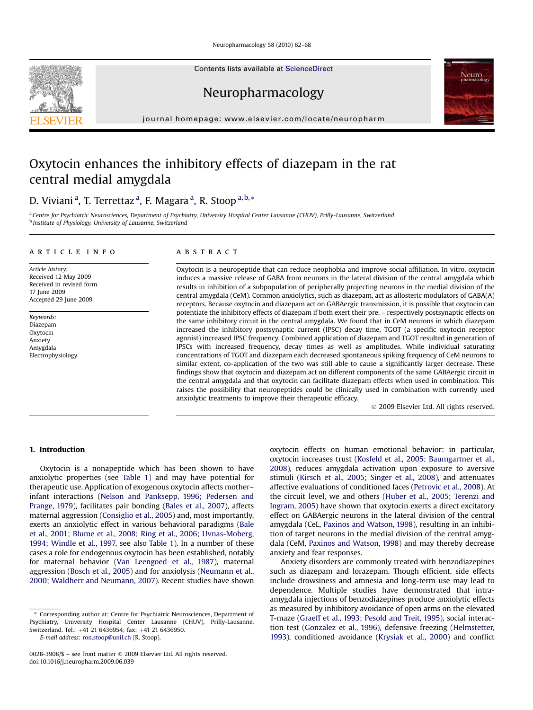Neuropharmacology 58 (2010) 62–68

Contents lists available at [ScienceDirect](www.sciencedirect.com/science/journal/00283908)

Neuropharmacology

journal homepage: [www.elsevier.com/locate/neuropharm](http://www.elsevier.com/locate/neuropharm)

# Oxytocin enhances the inhibitory effects of diazepam in the rat central medial amygdala

D. Viviani <sup>a</sup>, T. Terrettaz <sup>a</sup>, F. Magara <sup>a</sup>, R. Stoop <sup>a,b,</sup>\*

a Centre for Psychiatric Neurosciences, Department of Psychiatry, University Hospital Center Lausanne (CHUV), Prilly-Lausanne, Switzerland <sup>b</sup> Institute of Physiology, University of Lausanne, Switzerland

## article info

Article history: Received 12 May 2009 Received in revised form 17 June 2009 Accepted 29 June 2009

Keywords: Diazepam Oxytocin Anxiety Amygdala Electrophysiology

# ABSTRACT

Oxytocin is a neuropeptide that can reduce neophobia and improve social affiliation. In vitro, oxytocin induces a massive release of GABA from neurons in the lateral division of the central amygdala which results in inhibition of a subpopulation of peripherally projecting neurons in the medial division of the central amygdala (CeM). Common anxiolytics, such as diazepam, act as allosteric modulators of GABA(A) receptors. Because oxytocin and diazepam act on GABAergic transmission, it is possible that oxytocin can potentiate the inhibitory effects of diazepam if both exert their pre, – respectively postsynaptic effects on the same inhibitory circuit in the central amygdala. We found that in CeM neurons in which diazepam increased the inhibitory postsynaptic current (IPSC) decay time, TGOT (a specific oxytocin receptor agonist) increased IPSC frequency. Combined application of diazepam and TGOT resulted in generation of IPSCs with increased frequency, decay times as well as amplitudes. While individual saturating concentrations of TGOT and diazepam each decreased spontaneous spiking frequency of CeM neurons to similar extent, co-application of the two was still able to cause a significantly larger decrease. These findings show that oxytocin and diazepam act on different components of the same GABAergic circuit in the central amygdala and that oxytocin can facilitate diazepam effects when used in combination. This raises the possibility that neuropeptides could be clinically used in combination with currently used anxiolytic treatments to improve their therapeutic efficacy.

- 2009 Elsevier Ltd. All rights reserved.

# 1. Introduction

Oxytocin is a nonapeptide which has been shown to have anxiolytic properties (see [Table 1](#page-1-0)) and may have potential for therapeutic use. Application of exogenous oxytocin affects mother– infant interactions [\(Nelson and Panksepp, 1996; Pedersen and](#page-5-0) [Prange, 1979\)](#page-5-0), facilitates pair bonding ([Bales et al., 2007](#page-5-0)), affects maternal aggression [\(Consiglio et al., 2005\)](#page-5-0) and, most importantly, exerts an anxiolytic effect in various behavioral paradigms ([Bale](#page-5-0) [et al., 2001; Blume et al., 2008; Ring et al., 2006; Uvnas-Moberg,](#page-5-0) [1994; Windle et al., 1997,](#page-5-0) see also [Table 1](#page-1-0)). In a number of these cases a role for endogenous oxytocin has been established, notably for maternal behavior ([Van Leengoed et al., 1987](#page-6-0)), maternal aggression ([Bosch et al., 2005](#page-5-0)) and for anxiolysis ([Neumann et al.,](#page-5-0) [2000; Waldherr and Neumann, 2007](#page-5-0)). Recent studies have shown

\* Corresponding author at: Centre for Psychiatric Neurosciences, Department of Psychiatry, University Hospital Center Lausanne (CHUV), Prilly-Lausanne, Switzerland. Tel.: +41 21 6436954; fax: +41 21 6436950.

E-mail address: [ron.stoop@unil.ch](mailto:ron.stoop@unil.ch) (R. Stoop).

oxytocin effects on human emotional behavior: in particular, oxytocin increases trust [\(Kosfeld et al., 2005; Baumgartner et al.,](#page-5-0) [2008](#page-5-0)), reduces amygdala activation upon exposure to aversive stimuli [\(Kirsch et al., 2005; Singer et al., 2008\)](#page-5-0), and attenuates affective evaluations of conditioned faces ([Petrovic et al., 2008](#page-5-0)). At the circuit level, we and others ([Huber et al., 2005; Terenzi and](#page-5-0) [Ingram, 2005\)](#page-5-0) have shown that oxytocin exerts a direct excitatory effect on GABAergic neurons in the lateral division of the central amygdala (CeL, [Paxinos and Watson, 1998\)](#page-5-0), resulting in an inhibition of target neurons in the medial division of the central amygdala (CeM, [Paxinos and Watson, 1998\)](#page-5-0) and may thereby decrease anxiety and fear responses.

Anxiety disorders are commonly treated with benzodiazepines such as diazepam and lorazepam. Though efficient, side effects include drowsiness and amnesia and long-term use may lead to dependence. Multiple studies have demonstrated that intraamygdala injections of benzodiazepines produce anxiolytic effects as measured by inhibitory avoidance of open arms on the elevated T-maze [\(Graeff et al., 1993; Pesold and Treit, 1995\)](#page-5-0), social interaction test ([Gonzalez et al., 1996\)](#page-5-0), defensive freezing [\(Helmstetter,](#page-5-0) [1993](#page-5-0)), conditioned avoidance [\(Krysiak et al., 2000\)](#page-5-0) and conflict





<sup>0028-3908/\$ –</sup> see front matter © 2009 Elsevier Ltd. All rights reserved. doi:10.1016/j.neuropharm.2009.06.039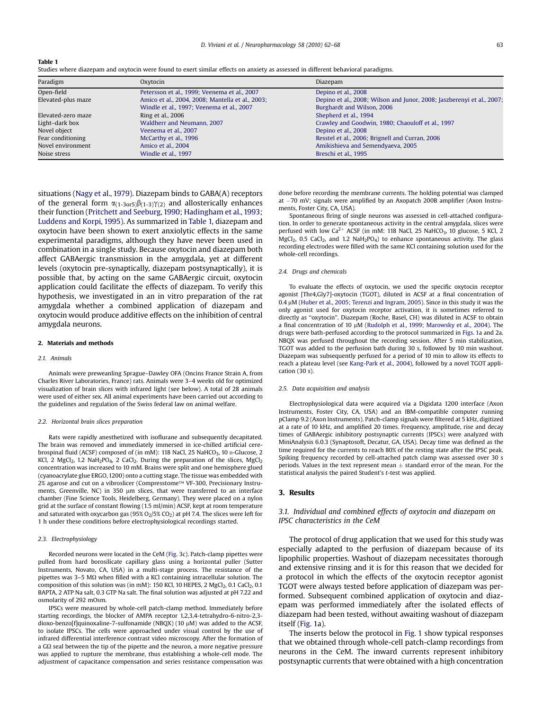## <span id="page-1-0"></span>Table 1

Studies where diazepam and oxytocin were found to exert similar effects on anxiety as assessed in different behavioral paradigms.

| Paradigm           | Oxytocin                                         | Diazepam                                                               |
|--------------------|--------------------------------------------------|------------------------------------------------------------------------|
| Open-field         | Petersson et al., 1999; Veenema et al., 2007     | Depino et al., 2008                                                    |
| Elevated-plus maze | Amico et al., 2004, 2008; Mantella et al., 2003; | Depino et al., 2008; Wilson and Junor, 2008; Jaszberenyi et al., 2007; |
|                    | Windle et al., 1997; Veenema et al., 2007        | Burghardt and Wilson, 2006                                             |
| Elevated-zero maze | Ring et al., 2006                                | Shepherd et al., 1994                                                  |
| Light-dark box     | Waldherr and Neumann, 2007                       | Crawley and Goodwin, 1980; Chaouloff et al., 1997                      |
| Novel object       | Veenema et al., 2007                             | Depino et al., 2008                                                    |
| Fear conditioning  | McCarthy et al., 1996                            | Resstel et al., 2006; Brignell and Curran, 2006                        |
| Novel environment  | Amico et al., 2004                               | Amikishieva and Semendyaeva, 2005                                      |
| Noise stress       | Windle et al., 1997                              | Breschi et al., 1995                                                   |

situations [\(Nagy et al., 1979\)](#page-5-0). Diazepam binds to GABA(A) receptors of the general form  $\alpha_{(1-30r5)}\beta_{(1-3)}\gamma_{(2)}$  and allosterically enhances their function ([Pritchett and Seeburg, 1990; Hadingham et al., 1993;](#page-5-0) [Luddens and Korpi, 1995\)](#page-5-0). As summarized in Table 1, diazepam and oxytocin have been shown to exert anxiolytic effects in the same experimental paradigms, although they have never been used in combination in a single study. Because oxytocin and diazepam both affect GABAergic transmission in the amygdala, yet at different levels (oxytocin pre-synaptically, diazepam postsynaptically), it is possible that, by acting on the same GABAergic circuit, oxytocin application could facilitate the effects of diazepam. To verify this hypothesis, we investigated in an in vitro preparation of the rat amygdala whether a combined application of diazepam and oxytocin would produce additive effects on the inhibition of central amygdala neurons.

### 2. Materials and methods

#### 2.1. Animals

Animals were preweanling Sprague–Dawley OFA (Oncins France Strain A, from Charles River Laboratories, France) rats. Animals were 3–4 weeks old for optimized visualization of brain slices with infrared light (see below). A total of 28 animals were used of either sex. All animal experiments have been carried out according to the guidelines and regulation of the Swiss federal law on animal welfare.

## 2.2. Horizontal brain slices preparation

Rats were rapidly anesthetized with isoflurane and subsequently decapitated. The brain was removed and immediately immersed in ice-chilled artificial cerebrospinal fluid (ACSF) composed of (in mM): 118 NaCl, 25 NaHCO3, 10 D-Glucose, 2 KCl, 2 MgCl<sub>2</sub>, 1.2 NaH<sub>2</sub>PO<sub>4</sub>, 2 CaCl<sub>2</sub>. During the preparation of the slices, MgCl<sub>2</sub> concentration was increased to 10 mM. Brains were split and one hemisphere glued (cyanoacrylate glue ERGO, 1200) onto a cutting stage. The tissue was embedded with 2% agarose and cut on a vibroslicer (Compresstome™ VF-300, Precisionary Instruments, Greenville, NC) in 350 µm slices, that were transferred to an interface chamber (Fine Science Tools, Heidelberg, Germany). They were placed on a nylon grid at the surface of constant flowing (1.5 ml/min) ACSF, kept at room temperature and saturated with oxycarbon gas (95%  $O<sub>2</sub>/5$ %  $CO<sub>2</sub>$ ) at pH 7.4. The slices were left for 1 h under these conditions before electrophysiological recordings started.

## 2.3. Electrophysiology

Recorded neurons were located in the CeM [\(Fig. 3](#page-4-0)c). Patch-clamp pipettes were pulled from hard borosilicate capillary glass using a horizontal puller (Sutter Instruments, Novato, CA, USA) in a multi-stage process. The resistance of the pipettes was 3-5 M $\Omega$  when filled with a KCl containing intracellular solution. The composition of this solution was (in mM): 150 KCl, 10 HEPES, 2 MgCl<sub>2</sub>, 0.1 CaCl<sub>2</sub>, 0.1 BAPTA, 2 ATP Na salt, 0.3 GTP Na salt. The final solution was adjusted at pH 7.22 and osmolarity of 292 mOsm.

IPSCs were measured by whole-cell patch-clamp method. Immediately before starting recordings, the blocker of AMPA receptor 1,2,3,4-tetrahydro-6-nitro-2,3 dioxo-benzo[f]quinoxaline-7-sulfonamide (NBQX) (10  $\mu$ M) was added to the ACSF, to isolate IPSCs. The cells were approached under visual control by the use of infrared differential interference contrast video microscopy. After the formation of a  $G\Omega$  seal between the tip of the pipette and the neuron, a more negative pressure was applied to rupture the membrane, thus establishing a whole-cell mode. The adjustment of capacitance compensation and series resistance compensation was done before recording the membrane currents. The holding potential was clamped at -70 mV; signals were amplified by an Axopatch 200B amplifier (Axon Instruments, Foster City, CA, USA).

Spontaneous firing of single neurons was assessed in cell-attached configuration. In order to generate spontaneous activity in the central amygdala, slices were perfused with low  $Ca^{2+}$  ACSF (in mM: 118 NaCl, 25 NaHCO<sub>3</sub>, 10 glucose, 5 KCl, 2  $MgCl<sub>2</sub>$ , 0.5 CaCl<sub>2</sub>, and 1.2 NaH<sub>2</sub>PO<sub>4</sub>) to enhance spontaneous activity. The glass recording electrodes were filled with the same KCl containing solution used for the whole-cell recordings.

## 2.4. Drugs and chemicals

To evaluate the effects of oxytocin, we used the specific oxytocin receptor agonist [Thr4,Gly7]-oxytocin (TGOT), diluted in ACSF at a final concentration of  $0.4 \mu$ M [\(Huber et al., 2005; Terenzi and Ingram, 2005\)](#page-5-0). Since in this study it was the only agonist used for oxytocin receptor activation, it is sometimes referred to directly as ''oxytocin''. Diazepam (Roche, Basel, CH) was diluted in ACSF to obtain a final concentration of 10  $\mu$ M [\(Rudolph et al., 1999; Marowsky et al., 2004](#page-6-0)). The drugs were bath-perfused according to the protocol summarized in [Figs. 1](#page-2-0)a and 2a. NBQX was perfused throughout the recording session. After 5 min stabilization, TGOT was added to the perfusion bath during 30 s, followed by 10 min washout. Diazepam was subsequently perfused for a period of 10 min to allow its effects to reach a plateau level (see [Kang-Park et al., 2004](#page-5-0)), followed by a novel TGOT application (30 s).

#### 2.5. Data acquisition and analysis

Electrophysiological data were acquired via a Digidata 1200 interface (Axon Instruments, Foster City, CA, USA) and an IBM-compatible computer running pClamp 9.2 (Axon Instruments). Patch-clamp signals were filtered at 5 kHz, digitized at a rate of 10 kHz, and amplified 20 times. Frequency, amplitude, rise and decay times of GABAergic inhibitory postsynaptic currents (IPSCs) were analyzed with MiniAnalysis 6.0.3 (Synaptosoft, Decatur, GA, USA). Decay time was defined as the time required for the currents to reach 80% of the resting state after the IPSC peak. Spiking frequency recorded by cell-attached patch clamp was assessed over 30 s periods. Values in the text represent mean  $\pm$  standard error of the mean. For the statistical analysis the paired Student's t-test was applied.

## 3. Results

# 3.1. Individual and combined effects of oxytocin and diazepam on IPSC characteristics in the CeM

The protocol of drug application that we used for this study was especially adapted to the perfusion of diazepam because of its lipophilic properties. Washout of diazepam necessitates thorough and extensive rinsing and it is for this reason that we decided for a protocol in which the effects of the oxytocin receptor agonist TGOT were always tested before application of diazepam was performed. Subsequent combined application of oxytocin and diazepam was performed immediately after the isolated effects of diazepam had been tested, without awaiting washout of diazepam itself [\(Fig. 1](#page-2-0)a).

The inserts below the protocol in [Fig. 1](#page-2-0) show typical responses that we obtained through whole-cell patch-clamp recordings from neurons in the CeM. The inward currents represent inhibitory postsynaptic currents that were obtained with a high concentration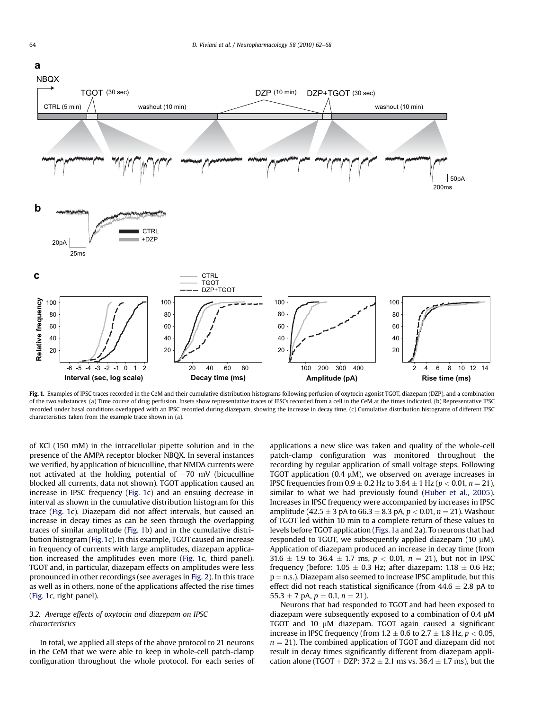# <span id="page-2-0"></span>**a**



Fig. 1. Examples of IPSC traces recorded in the CeM and their cumulative distribution histograms following perfusion of oxytocin agonist TGOT, diazepam (DZP), and a combination of the two substances. (a) Time course of drug perfusion. Insets show representative traces of IPSCs recorded from a cell in the CeM at the times indicated. (b) Representative IPSC recorded under basal conditions overlapped with an IPSC recorded during diazepam, showing the increase in decay time. (c) Cumulative distribution histograms of different IPSC characteristics taken from the example trace shown in (a).

of KCl (150 mM) in the intracellular pipette solution and in the presence of the AMPA receptor blocker NBQX. In several instances we verified, by application of bicuculline, that NMDA currents were not activated at the holding potential of –70 mV (bicuculline blocked all currents, data not shown). TGOT application caused an increase in IPSC frequency (Fig. 1c) and an ensuing decrease in interval as shown in the cumulative distribution histogram for this trace (Fig. 1c). Diazepam did not affect intervals, but caused an increase in decay times as can be seen through the overlapping traces of similar amplitude (Fig. 1b) and in the cumulative distribution histogram (Fig. 1c). In this example, TGOT caused an increase in frequency of currents with large amplitudes, diazepam application increased the amplitudes even more (Fig. 1c, third panel). TGOT and, in particular, diazepam effects on amplitudes were less pronounced in other recordings (see averages in [Fig. 2](#page-3-0)). In this trace as well as in others, none of the applications affected the rise times (Fig. 1c, right panel).

# 3.2. Average effects of oxytocin and diazepam on IPSC characteristics

In total, we applied all steps of the above protocol to 21 neurons in the CeM that we were able to keep in whole-cell patch-clamp configuration throughout the whole protocol. For each series of applications a new slice was taken and quality of the whole-cell patch-clamp configuration was monitored throughout the recording by regular application of small voltage steps. Following TGOT application (0.4  $\mu$ M), we observed on average increases in IPSC frequencies from  $0.9 \pm 0.2$  Hz to  $3.64 \pm 1$  Hz ( $p < 0.01$ ,  $n = 21$ ), similar to what we had previously found ([Huber et al., 2005\)](#page-5-0). Increases in IPSC frequency were accompanied by increases in IPSC amplitude (42.5  $\pm$  3 pA to 66.3  $\pm$  8.3 pA, p < 0.01, n = 21). Washout of TGOT led within 10 min to a complete return of these values to levels before TGOT application (Figs. 1a and 2a). To neurons that had responded to TGOT, we subsequently applied diazepam (10  $\mu$ M). Application of diazepam produced an increase in decay time (from 31.6  $\pm$  1.9 to 36.4  $\pm$  1.7 ms,  $p < 0.01$ ,  $n = 21$ ), but not in IPSC frequency (before: 1.05  $\pm$  0.3 Hz; after diazepam: 1.18  $\pm$  0.6 Hz;  $p = n.s.$ ). Diazepam also seemed to increase IPSC amplitude, but this effect did not reach statistical significance (from  $44.6 \pm 2.8$  pA to 55.3  $\pm$  7 pA,  $p = 0.1$ ,  $n = 21$ ).

Neurons that had responded to TGOT and had been exposed to diazepam were subsequently exposed to a combination of  $0.4 \mu M$ TGOT and 10 µM diazepam. TGOT again caused a significant increase in IPSC frequency (from  $1.2 \pm 0.6$  to  $2.7 \pm 1.8$  Hz,  $p < 0.05$ ,  $n = 21$ ). The combined application of TGOT and diazepam did not result in decay times significantly different from diazepam application alone (TGOT + DZP: 37.2  $\pm$  2.1 ms vs. 36.4  $\pm$  1.7 ms), but the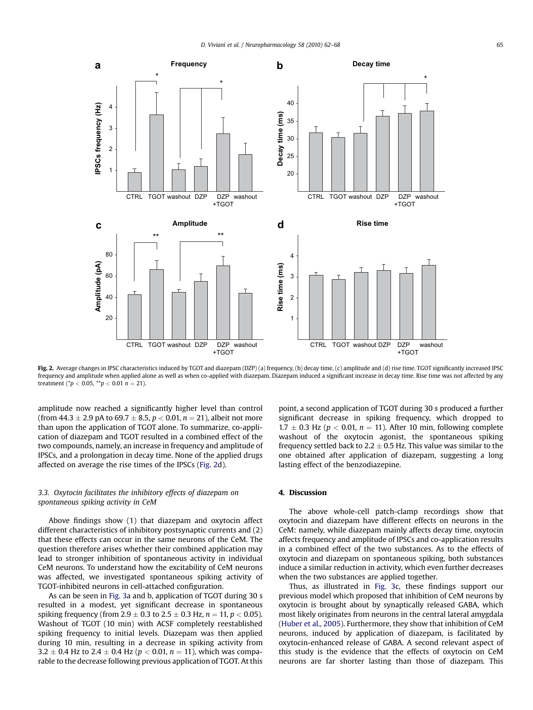<span id="page-3-0"></span>

Fig. 2. Average changes in IPSC characteristics induced by TGOT and diazepam (DZP) (a) frequency, (b) decay time, (c) amplitude and (d) rise time. TGOT significantly increased IPSC frequency and amplitude when applied alone as well as when co-applied with diazepam. Diazepam induced a significant increase in decay time. Rise time was not affected by any treatment (\* $p < 0.05$ , \*\* $p < 0.01$  n = 21).

amplitude now reached a significantly higher level than control (from  $44.3 \pm 2.9$  pA to  $69.7 \pm 8.5$ ,  $p < 0.01$ ,  $n = 21$ ), albeit not more than upon the application of TGOT alone. To summarize, co-application of diazepam and TGOT resulted in a combined effect of the two compounds, namely, an increase in frequency and amplitude of IPSCs, and a prolongation in decay time. None of the applied drugs affected on average the rise times of the IPSCs (Fig. 2d).

# 3.3. Oxytocin facilitates the inhibitory effects of diazepam on spontaneous spiking activity in CeM

Above findings show (1) that diazepam and oxytocin affect different characteristics of inhibitory postsynaptic currents and (2) that these effects can occur in the same neurons of the CeM. The question therefore arises whether their combined application may lead to stronger inhibition of spontaneous activity in individual CeM neurons. To understand how the excitability of CeM neurons was affected, we investigated spontaneous spiking activity of TGOT-inhibited neurons in cell-attached configuration.

As can be seen in [Fig. 3a](#page-4-0) and b, application of TGOT during 30 s resulted in a modest, yet significant decrease in spontaneous spiking frequency (from 2.9  $\pm$  0.3 to 2.5  $\pm$  0.3 Hz, n = 11, p < 0.05). Washout of TGOT (10 min) with ACSF completely reestablished spiking frequency to initial levels. Diazepam was then applied during 10 min, resulting in a decrease in spiking activity from 3.2  $\pm$  0.4 Hz to 2.4  $\pm$  0.4 Hz (p < 0.01, n = 11), which was comparable to the decrease following previous application of TGOT. At this point, a second application of TGOT during 30 s produced a further significant decrease in spiking frequency, which dropped to  $1.7 \pm 0.3$  Hz ( $p < 0.01$ ,  $n = 11$ ). After 10 min, following complete washout of the oxytocin agonist, the spontaneous spiking frequency settled back to 2.2  $\pm$  0.5 Hz. This value was similar to the one obtained after application of diazepam, suggesting a long lasting effect of the benzodiazepine.

# 4. Discussion

The above whole-cell patch-clamp recordings show that oxytocin and diazepam have different effects on neurons in the CeM: namely, while diazepam mainly affects decay time, oxytocin affects frequency and amplitude of IPSCs and co-application results in a combined effect of the two substances. As to the effects of oxytocin and diazepam on spontaneous spiking, both substances induce a similar reduction in activity, which even further decreases when the two substances are applied together.

Thus, as illustrated in [Fig. 3](#page-4-0)c, these findings support our previous model which proposed that inhibition of CeM neurons by oxytocin is brought about by synaptically released GABA, which most likely originates from neurons in the central lateral amygdala ([Huber et al., 2005\)](#page-5-0). Furthermore, they show that inhibition of CeM neurons, induced by application of diazepam, is facilitated by oxytocin-enhanced release of GABA. A second relevant aspect of this study is the evidence that the effects of oxytocin on CeM neurons are far shorter lasting than those of diazepam. This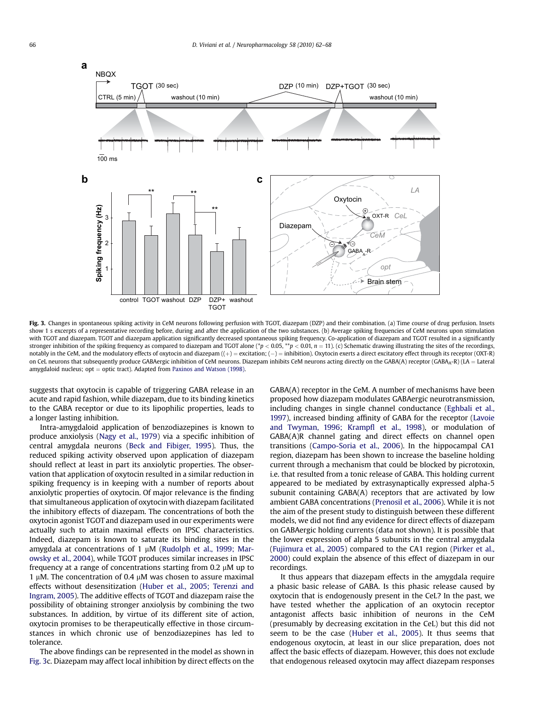<span id="page-4-0"></span>

Fig. 3. Changes in spontaneous spiking activity in CeM neurons following perfusion with TGOT, diazepam (DZP) and their combination. (a) Time course of drug perfusion. Insets show 1 s excerpts of a representative recording before, during and after the application of the two substances. (b) Average spiking frequencies of CeM neurons upon stimulation with TGOT and diazepam. TGOT and diazepam application significantly decreased spontaneous spiking frequency. Co-application of diazepam and TGOT resulted in a significantly stronger inhibition of the spiking frequency as compared to diazepam and TGOT alone (\*p < 0.05, \*\*p < 0.01, n = 11). (c) Schematic drawing illustrating the sites of the recordings, notably in the CeM, and the modulatory effects of oxytocin and diazepam ((+) = excitation; (–) = inhibition). Oxytocin exerts a direct excitatory effect through its receptor (OXT-R) on CeL neurons that subsequently produce GABAergic inhibition of CeM neurons. Diazepam inhibits CeM neurons acting directly on the GABA(A) receptor (GABAA-R) (LA = Lateral amygdaloid nucleus; opt  $=$  optic tract). Adapted from [Paxinos and Watson \(1998\)](#page-5-0).

suggests that oxytocin is capable of triggering GABA release in an acute and rapid fashion, while diazepam, due to its binding kinetics to the GABA receptor or due to its lipophilic properties, leads to a longer lasting inhibition.

Intra-amygdaloid application of benzodiazepines is known to produce anxiolysis ([Nagy et al., 1979\)](#page-5-0) via a specific inhibition of central amygdala neurons [\(Beck and Fibiger, 1995](#page-5-0)). Thus, the reduced spiking activity observed upon application of diazepam should reflect at least in part its anxiolytic properties. The observation that application of oxytocin resulted in a similar reduction in spiking frequency is in keeping with a number of reports about anxiolytic properties of oxytocin. Of major relevance is the finding that simultaneous application of oxytocin with diazepam facilitated the inhibitory effects of diazepam. The concentrations of both the oxytocin agonist TGOT and diazepam used in our experiments were actually such to attain maximal effects on IPSC characteristics. Indeed, diazepam is known to saturate its binding sites in the amygdala at concentrations of  $1 \mu M$  [\(Rudolph et al., 1999; Mar](#page-6-0)[owsky et al., 2004](#page-6-0)), while TGOT produces similar increases in IPSC frequency at a range of concentrations starting from  $0.2 \mu M$  up to 1  $\mu$ M. The concentration of 0.4  $\mu$ M was chosen to assure maximal effects without desensitization [\(Huber et al., 2005; Terenzi and](#page-5-0) [Ingram, 2005](#page-5-0)). The additive effects of TGOT and diazepam raise the possibility of obtaining stronger anxiolysis by combining the two substances. In addition, by virtue of its different site of action, oxytocin promises to be therapeutically effective in those circumstances in which chronic use of benzodiazepines has led to tolerance.

The above findings can be represented in the model as shown in Fig. 3c. Diazepam may affect local inhibition by direct effects on the GABA(A) receptor in the CeM. A number of mechanisms have been proposed how diazepam modulates GABAergic neurotransmission, including changes in single channel conductance ([Eghbali et al.,](#page-5-0) [1997](#page-5-0)), increased binding affinity of GABA for the receptor ([Lavoie](#page-5-0) [and Twyman, 1996; Krampfl et al., 1998\)](#page-5-0), or modulation of GABA(A)R channel gating and direct effects on channel open transitions [\(Campo-Soria et al., 2006](#page-5-0)). In the hippocampal CA1 region, diazepam has been shown to increase the baseline holding current through a mechanism that could be blocked by picrotoxin, i.e. that resulted from a tonic release of GABA. This holding current appeared to be mediated by extrasynaptically expressed alpha-5 subunit containing GABA(A) receptors that are activated by low ambient GABA concentrations [\(Prenosil et al., 2006\)](#page-5-0). While it is not the aim of the present study to distinguish between these different models, we did not find any evidence for direct effects of diazepam on GABAergic holding currents (data not shown). It is possible that the lower expression of alpha 5 subunits in the central amygdala ([Fujimura et al., 2005\)](#page-5-0) compared to the CA1 region [\(Pirker et al.,](#page-5-0) [2000](#page-5-0)) could explain the absence of this effect of diazepam in our recordings.

It thus appears that diazepam effects in the amygdala require a phasic basic release of GABA. Is this phasic release caused by oxytocin that is endogenously present in the CeL? In the past, we have tested whether the application of an oxytocin receptor antagonist affects basic inhibition of neurons in the CeM (presumably by decreasing excitation in the CeL) but this did not seem to be the case [\(Huber et al., 2005](#page-5-0)). It thus seems that endogenous oxytocin, at least in our slice preparation, does not affect the basic effects of diazepam. However, this does not exclude that endogenous released oxytocin may affect diazepam responses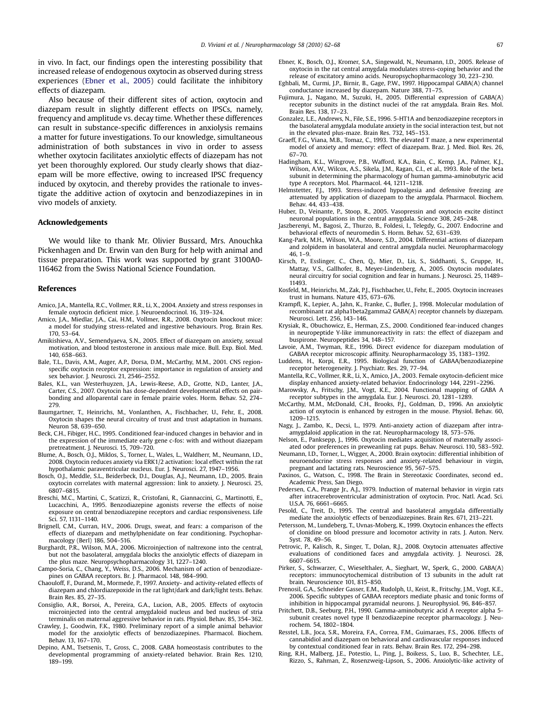<span id="page-5-0"></span>in vivo. In fact, our findings open the interesting possibility that increased release of endogenous oxytocin as observed during stress experiences (Ebner et al., 2005) could facilitate the inhibitory effects of diazepam.

Also because of their different sites of action, oxytocin and diazepam result in slightly different effects on IPSCs, namely, frequency and amplitude vs. decay time. Whether these differences can result in substance-specific differences in anxiolysis remains a matter for future investigations. To our knowledge, simultaneous administration of both substances in vivo in order to assess whether oxytocin facilitates anxiolytic effects of diazepam has not yet been thoroughly explored. Our study clearly shows that diazepam will be more effective, owing to increased IPSC frequency induced by oxytocin, and thereby provides the rationale to investigate the additive action of oxytocin and benzodiazepines in in vivo models of anxiety.

## Acknowledgements

We would like to thank Mr. Olivier Bussard, Mrs. Anouchka Pickenhagen and Dr. Erwin van den Burg for help with animal and tissue preparation. This work was supported by grant 3100A0- 116462 from the Swiss National Science Foundation.

# References

- Amico, J.A., Mantella, R.C., Vollmer, R.R., Li, X., 2004. Anxiety and stress responses in female oxytocin deficient mice. J. Neuroendocrinol. 16, 319–324.
- Amico, J.A., Miedlar, J.A., Cai, H.M., Vollmer, R.R., 2008. Oxytocin knockout mice: a model for studying stress-related and ingestive behaviours. Prog. Brain Res. 170, 53–64.
- Amikishieva, A.V., Semendyaeva, S.N., 2005. Effect of diazepam on anxiety, sexual motivation, and blood testosterone in anxious male mice. Bull. Exp. Biol. Med. 140, 658–663.
- Bale, T.L., Davis, A.M., Auger, A.P., Dorsa, D.M., McCarthy, M.M., 2001. CNS regionspecific oxytocin receptor expression: importance in regulation of anxiety and sex behavior. J. Neurosci. 21, 2546–2552.
- Bales, K.L., van Westerhuyzen, J.A., Lewis-Reese, A.D., Grotte, N.D., Lanter, J.A., Carter, C.S., 2007. Oxytocin has dose-dependent developmental effects on pairbonding and alloparental care in female prairie voles. Horm. Behav. 52, 274– 279.
- Baumgartner, T., Heinrichs, M., Vonlanthen, A., Fischbacher, U., Fehr, E., 2008. Oxytocin shapes the neural circuitry of trust and trust adaptation in humans. Neuron 58, 639–650.
- Beck, C.H., Fibiger, H.C., 1995. Conditioned fear-induced changes in behavior and in the expression of the immediate early gene c-fos: with and without diazepam pretreatment. J. Neurosci. 15, 709–720.
- Blume, A., Bosch, O.J., Miklos, S., Torner, L., Wales, L., Waldherr, M., Neumann, I.D., 2008. Oxytocin reduces anxiety via ERK1/2 activation: local effect within the rat hypothalamic paraventricular nucleus. Eur. J. Neurosci. 27, 1947–1956.
- Bosch, O.J., Meddle, S.L., Beiderbeck, D.I., Douglas, A.J., Neumann, I.D., 2005. Brain oxytocin correlates with maternal aggression: link to anxiety. J. Neurosci. 25, 6807–6815.
- Breschi, M.C., Martini, C., Scatizzi, R., Cristofani, R., Giannaccini, G., Martinotti, E., Lucacchini, A., 1995. Benzodiazepine agonists reverse the effects of noise exposure on central benzodiazepine receptors and cardiac responsiveness. Life Sci. 57, 1131–1140.
- Brignell, C.M., Curran, H.V., 2006. Drugs, sweat, and fears: a comparison of the effects of diazepam and methylphenidate on fear conditioning. Psychopharmacology (Berl) 186, 504–516.
- Burghardt, P.R., Wilson, M.A., 2006. Microinjection of naltrexone into the central, but not the basolateral, amygdala blocks the anxiolytic effects of diazepam in the plus maze. Neuropsychopharmacology 31, 1227–1240.
- Campo-Soria, C., Chang, Y., Weiss, D.S., 2006. Mechanism of action of benzodiazepines on GABAA receptors. Br. J. Pharmacol. 148, 984–990.
- Chaouloff, F., Durand, M., Mormede, P., 1997. Anxiety- and activity-related effects of diazepam and chlordiazepoxide in the rat light/dark and dark/light tests. Behav. Brain Res. 85, 27–35.
- Consiglio, A.R., Borsoi, A., Pereira, G.A., Lucion, A.B., 2005. Effects of oxytocin microinjected into the central amygdaloid nucleus and bed nucleus of stria terminalis on maternal aggressive behavior in rats. Physiol. Behav. 85, 354–362.
- Crawley, J., Goodwin, F.K., 1980. Preliminary report of a simple animal behavior model for the anxiolytic effects of benzodiazepines. Pharmacol. Biochem. Behav. 13, 167–170.
- Depino, A.M., Tsetsenis, T., Gross, C., 2008. GABA homeostasis contributes to the developmental programming of anxiety-related behavior. Brain Res. 1210, 189–199.
- Ebner, K., Bosch, O.J., Kromer, S.A., Singewald, N., Neumann, I.D., 2005. Release of oxytocin in the rat central amygdala modulates stress-coping behavior and the release of excitatory amino acids. Neuropsychopharmacology 30, 223–230.
- Eghbali, M., Curmi, J.P., Birnir, B., Gage, P.W., 1997. Hippocampal GABA(A) channel conductance increased by diazepam. Nature 388, 71–75.
- Fujimura, J., Nagano, M., Suzuki, H., 2005. Differential expression of GABA(A) receptor subunits in the distinct nuclei of the rat amygdala. Brain Res. Mol. Brain Res. 138, 17–23.
- Gonzalez, L.E., Andrews, N., File, S.E., 1996. 5-HT1A and benzodiazepine receptors in the basolateral amygdala modulate anxiety in the social interaction test, but not in the elevated plus-maze. Brain Res. 732, 145–153.
- Graeff, F.G., Viana, M.B., Tomaz, C., 1993. The elevated T maze, a new experimental model of anxiety and memory: effect of diazepam. Braz. J. Med. Biol. Res. 26, 67–70.
- Hadingham, K.L., Wingrove, P.B., Wafford, K.A., Bain, C., Kemp, J.A., Palmer, K.J., Wilson, A.W., Wilcox, A.S., Sikela, J.M., Ragan, C.I., et al., 1993. Role of the beta subunit in determining the pharmacology of human gamma-aminobutyric acid type A receptors. Mol. Pharmacol. 44, 1211–1218.
- Helmstetter, F.J., 1993. Stress-induced hypoalgesia and defensive freezing are attenuated by application of diazepam to the amygdala. Pharmacol. Biochem. Behav. 44, 433–438.
- Huber, D., Veinante, P., Stoop, R., 2005. Vasopressin and oxytocin excite distinct neuronal populations in the central amygdala. Science 308, 245–248.
- Jaszberenyi, M., Bagosi, Z., Thurzo, B., Foldesi, I., Telegdy, G., 2007. Endocrine and behavioral effects of neuromedin S. Horm. Behav. 52, 631–639.
- Kang-Park, M.H., Wilson, W.A., Moore, S.D., 2004. Differential actions of diazepam and zolpidem in basolateral and central amygdala nuclei. Neuropharmacology 46, 1–9.
- Kirsch, P., Esslinger, C., Chen, Q., Mier, D., Lis, S., Siddhanti, S., Gruppe, H., Mattay, V.S., Gallhofer, B., Meyer-Lindenberg, A., 2005. Oxytocin modulates neural circuitry for social cognition and fear in humans. J. Neurosci. 25, 11489– 11493.
- Kosfeld, M., Heinrichs, M., Zak, P.J., Fischbacher, U., Fehr, E., 2005. Oxytocin increases trust in humans. Nature 435, 673–676.
- Krampfl, K., Lepier, A., Jahn, K., Franke, C., Bufler, J., 1998. Molecular modulation of recombinant rat alpha1beta2gamma2 GABA(A) receptor channels by diazepam. Neurosci. Lett. 256, 143–146.
- Krysiak, R., Obuchowicz, E., Herman, Z.S., 2000. Conditioned fear-induced changes in neuropeptide Y-like immunoreactivity in rats: the effect of diazepam and buspirone. Neuropeptides 34, 148–157.
- Lavoie, A.M., Twyman, R.E., 1996. Direct evidence for diazepam modulation of GABAA receptor microscopic affinity. Neuropharmacology 35, 1383–1392.
- Luddens, H., Korpi, E.R., 1995. Biological function of GABAA/benzodiazepine receptor heterogeneity. J. Psychiatr. Res. 29, 77–94.
- Mantella, R.C., Vollmer, R.R., Li, X., Amico, J.A., 2003. Female oxytocin-deficient mice display enhanced anxiety-related behavior. Endocrinology 144, 2291–2296.
- Marowsky, A., Fritschy, J.M., Vogt, K.E., 2004. Functional mapping of GABA A receptor subtypes in the amygdala. Eur. J. Neurosci. 20, 1281–1289.
- McCarthy, M.M., McDonald, C.H., Brooks, P.J., Goldman, D., 1996. An anxiolytic action of oxytocin is enhanced by estrogen in the mouse. Physiol. Behav. 60, 1209–1215.
- Nagy, J., Zambo, K., Decsi, L., 1979. Anti-anxiety action of diazepam after intraamygdaloid application in the rat. Neuropharmacology 18, 573–576.
- Nelson, E., Panksepp, J., 1996. Oxytocin mediates acquisition of maternally associated odor preferences in preweanling rat pups. Behav. Neurosci. 110, 583–592.
- Neumann, I.D., Torner, L., Wigger, A., 2000. Brain oxytocin: differential inhibition of neuroendocrine stress responses and anxiety-related behaviour in virgin, pregnant and lactating rats. Neuroscience 95, 567–575.
- Paxinos, G., Watson, C., 1998. The Brain in Stereotaxic Coordinates, second ed.. Academic Press, San Diego.
- Pedersen, C.A., Prange Jr., A.J., 1979. Induction of maternal behavior in virgin rats after intracerebroventricular administration of oxytocin. Proc. Natl. Acad. Sci. U.S.A. 76, 6661–6665.
- Pesold, C., Treit, D., 1995. The central and basolateral amygdala differentially mediate the anxiolytic effects of benzodiazepines. Brain Res. 671, 213–221.
- Petersson, M., Lundeberg, T., Uvnas-Moberg, K., 1999. Oxytocin enhances the effects of clonidine on blood pressure and locomotor activity in rats. J. Auton. Nerv. Syst. 78, 49–56.
- Petrovic, P., Kalisch, R., Singer, T., Dolan, R.J., 2008. Oxytocin attenuates affective evaluations of conditioned faces and amygdala activity. J. Neurosci. 28, 6607–6615.
- Pirker, S., Schwarzer, C., Wieselthaler, A., Sieghart, W., Sperk, G., 2000. GABA(A) receptors: immunocytochemical distribution of 13 subunits in the adult rat brain. Neuroscience 101, 815–850.
- Prenosil, G.A., Schneider Gasser, E.M., Rudolph, U., Keist, R., Fritschy, J.M., Vogt, K.E., 2006. Specific subtypes of GABAA receptors mediate phasic and tonic forms of inhibition in hippocampal pyramidal neurons. J. Neurophysiol. 96, 846–857.
- Pritchett, D.B., Seeburg, P.H., 1990. Gamma-aminobutyric acid A receptor alpha 5 subunit creates novel type II benzodiazepine receptor pharmacology. J. Neurochem. 54, 1802–1804.
- Resstel, L.B., Joca, S.R., Moreira, F.A., Correa, F.M., Guimaraes, F.S., 2006. Effects of cannabidiol and diazepam on behavioral and cardiovascular responses induced by contextual conditioned fear in rats. Behav. Brain Res. 172, 294–298.
- Ring, R.H., Malberg, J.E., Potestio, L., Ping, J., Boikess, S., Luo, B., Schechter, L.E., Rizzo, S., Rahman, Z., Rosenzweig-Lipson, S., 2006. Anxiolytic-like activity of